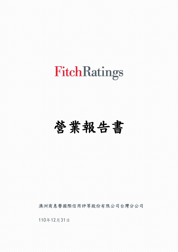### 營業報告書

澳洲商惠譽國際信用評等股份有限公司台灣分公司

110年12月31日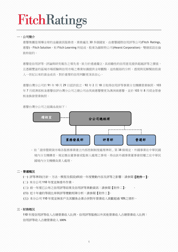### 一、公司簡介

 惠譽集團是領導全球的金融資訊服務者,業務遍及 30 多個國家。由惠譽國際信用評等公司(Fitch Ratings, 惠譽),Fitch Solution,和 Fitch Learning 所組成。股東為赫斯特公司(Hearst Corporation),雙總部設在倫 敦和紐約。

惠譽是信用評等、評論與研究報告之領先者。致力於透過獨立、具前瞻性的信用意見提供超越評等之價值, 且憑藉豐富的區域市場經驗與信用市場之專業知識提供全球觀點。這些脈絡的分析、透視與見解幫助投資 人一世紀以來的資金成長,對於重要的信用判斷更深具信心。

 惠譽台灣分公司於 91 年 10 月 29 日認許設立,92 年 2 月 18 日取得信用評等事業分支機構營業執照。103 年 7 月經濟部核准惠譽信評台灣分公司之總公司由英商惠譽變更為澳洲商惠譽,並於 103 年 8 月經金管會 核准換發營業執照。



惠譽台灣分公司之組織系統如下:

- 依「證券暨期貨市場各服務事業建立內部控制制度處理準則」第 38 條規定,外國事業在中華民國 境內分支機構者,規定應由董事會或監察人處理之事項,得由該外國事業董事會授權之在中華民 國境內分支機構負責人處理。

### 二、營運概況

(一) 評等準則(方針、方法、模型及假設)與前一年度變動內容及評等之影響:請參閱【附件一】。

- (二) 本分公司 110 年度並無委外作業。
- (三) 前一年度已公布之信用評等結果及信用評等異動資訊:請參閱【附件二】。 。
- (四) 近十年違約等級比率與評等變動矩陣分析:請參閱【附件三】。
- (五) 本分公司 110 年度並無客戶及其關係企業合併對年營業收入貢獻超過 10%之情形。

### 三、財務概況

 110 年度信用評等收入占總營業收入比例、信用評等服務以外其他營業收入占總營業收入比例: 信用評等收入占總營業收入 100%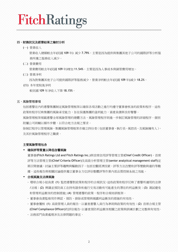### 四、財務狀況及經營結果之檢討分析

(一) 營業收入

 營業收入總額較去年(民國 109 年) 減少 7.79%,主要是因為提供與集團其他子公司的國際評等分析服 務所獲之服務收入減少。

(二) 營業費用

營業費用較去年(民國 109 年)增加 11.54%。主要是因為人事成本與銷管費用增加。

(三) 營業淨利

因為對集團其他子公司提供國際評等服務減少,營業淨利較去年(民國 109 年)減少 18.2%。

 (四) 本年度稅後淨利 較民國 109 年淨收入下降 18.15%。

### 五、風險管理事項

包括惠譽在內的惠譽集團制定風險管理框架以確保各項活動之進行均遵守董事會核准的政策和程序。這些 政策和程序反映集團的風險承受能力,旨在保護集團的盈利能力,資產負債與良好聲譽。

風險管理框架規範惠譽全球風險管理的總體方法,風險管理程序則進一步制訂風險管理的詳細程序。個別 附屬公司則輔以額外步驟,以符合地方法規之要求。

除制訂程序以管理風險,集團風險管理框架亦確立持份者(包括董事會、執行長、風控長、及風險擁有人), 及其於風險管理程序之職責。

### 主要風險管理包含

### ▪ 確保評等質量以降低信譽風險

董事會(Fitch Ratings Ltd and Fitch Ratings Inc.)與首席信用評等管理主管(Chief Credit Officer)、首席 評等方法管理主管(Chief Criteria Officer)及高級分析管理主管(senior analytical management staff)定 期召開會議,討論主要評等趨勢與驅動因子,包括宏觀經濟因素,評等方法改變和評等變動與違約等數 據。這些報告與相關討論提供獨立董事全方位評估整體評等作業內部品質控制系統之效能。

### ▪ 合規風險及法律風險

- 環球合規小組負責 (1) 監控惠譽對政策和程序的合規狀況,這些政策和程序反映了惠譽所適用的法律 /法規;(2) 辨識並預防員工在持有證券和進行交易活動有可能產生的潛在的利益衝突;(3) 測試避免 和管理利益衝突的控制措施; (4) 管理惠譽的政策, 程序和合規培訓框架。
- 董事會負責監察用作辨認、預防、排除或管理與揭露利益衝突的措施的有效性。
- 董事會覆核 (1) 高級管理人員的報告,以審查惠譽人員行為準則與政策的有效性;(2) 首席合規主管 (Chief Compliance Officer)的評估報告,以審查預防利益衝突相關之政策與訓練計劃之完整與有效性。
- 法務部門負責處理涉及法律問題的事宜。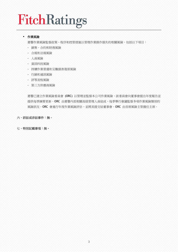### ▪ 作業風險

惠譽作業風險監督政策、程序和控管措施以管理作業操作損失的相關風險,包括以下項目:

- 銷售、合約和財務風險
- 合規和法規風險
- 人員風險
- 資訊科技風險
- 持續作業營運和災難損害復原風險
- 行銷和通訊風險
- 評等流程風險
- 第三方供應商風險

惠譽已建立作業風險委員會 (ORC) 以管理並監督本公司作業風險,該委員會向董事會提出年度報告並 提供每季摘要更新。ORC 由惠譽內部相關高級管理人員組成,每季舉行會議監督多項作業風險類別的 風險狀況。ORC 會進行年度作業風險評估,並將其提交給董事會。ORC 由首席風險主管擔任主席。

### 六、訴訟或非訟事件:無。

### 七、特別記載事項:無。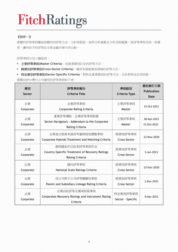### 【附件一】

惠譽的評等準則闡述前瞻性的評等方法、方針與假設,說明分析重點及分析受限範圍。該評等準則受到一致應 用,讓所給予的評等在全球金融市場可作比較。

評等準則分為三種級別:

- 主要評等準則**(Master Criteria)**:依產業類別訂定的評等方法。
- 跨業別評等準則**(Cross-Sector Criteria)**:適用多個產業或領域的評等方法。
- 特定業別評等準則**(Sector-Specific Criteria)**:對特定產業類別的評等方法,及針對特定信用因素。

惠譽信評台灣分公司適用的評等準則如下表:

| 業別<br><b>Sector</b> | 評等準則報告<br>Criteria Title                                                                   | 準則級別<br><b>Criteria Type</b>  | 最近修訂日期<br><b>Publication</b><br><b>Date</b> |
|---------------------|--------------------------------------------------------------------------------------------|-------------------------------|---------------------------------------------|
| 企業                  | 企業評等準則                                                                                     | 主要評等準則                        | 15-Oct-2021                                 |
| Corporate           | <b>Corporate Rating Criteria</b>                                                           | Master                        |                                             |
| 企業<br>Corporate     | 産業評等導航、企業評等準則附錄<br>Sector Navigators - Addendum to the Corporate<br>Rating Criteria        | 主要評等準則<br>Master              | 30-Apr-2021<br>15-Oct-2021                  |
| 企業                  | 企業混合型資本證券考量與級別調整準則                                                                         | 跨業別評等準則                       | 12-Nov-2020                                 |
| Corporate           | Corporate Hybrids Treatment and Notching Criteria                                          | Cross-Sector                  |                                             |
| 企業<br>Corporate     | 個別國家於回收率評等準則作法<br>Country-Specific Treatment of Recovery Ratings<br><b>Rating Criteria</b> | 跨業別評等準則<br>Cross-Sector       | 5-Jan-2021                                  |
| 企業                  | 國內評等準則                                                                                     | 跨業別評等準則                       | 22-Dec-2020                                 |
| Corporate           | National Scale Ratings Criteria                                                            | Cross-Sector                  |                                             |
| 企業                  | 母公司與子公司評等關聯性準則                                                                             | 跨業別評等準則                       | 1-Dec-2021                                  |
| Corporate           | Parent and Subsidiary Linkage Rating Criteria                                              | Cross-Sector                  |                                             |
| 企業<br>Corporate     | 企業回收評等及債項評級準則<br>Corporates Recovery Ratings and Instrument Rating<br>Criteria             | 特定業別評等準則<br>Sector - Specific | 9-Apr-2021                                  |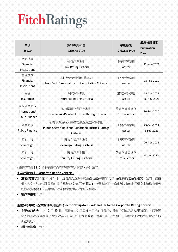| 業別<br><b>Sector</b>                              | 評等準則報告<br><b>Criteria Title</b>                                                     | 準則級別<br><b>Criteria Type</b> | 最近修訂日期<br>Publication<br><b>Date</b> |
|--------------------------------------------------|-------------------------------------------------------------------------------------|------------------------------|--------------------------------------|
| 金融機構<br>Financial<br>Institutions                | 銀行評等準則<br><b>Bank Rating Criteria</b>                                               | 主要評等準則<br>Master             | 12-Nov-2021                          |
| 金融機構<br>Financial<br>Institutions                | 非銀行金融機構評等準則<br>Non-Bank Financial Institutions Rating Criteria                      | 主要評等準則<br>Master             | 28-Feb-2020                          |
| 保險<br>Insurance                                  | 保險評等準則<br><b>Insurance Rating Criteria</b>                                          | 主要評等準則<br>Master             | 15-Apr-2021<br>26-Nov-2021           |
| 國際公共財政<br>International<br><b>Public Finance</b> | 政府關聯企業評等準則<br>Government-Related Entities Rating Criteria                           | 跨業別評等準則<br>Cross-Sector      | 30-Sep-2020                          |
| 公共財政<br><b>Public Finance</b>                    | 公有事業及收入基礎支撐企業之評等準則<br>Public Sector, Revenue-Suporrted Entities Ratings<br>Criteria | 主要評等準則<br>Master             | 23-Feb-2021<br>1-Sep-2021            |
| 國家主權<br>Sovereigns                               | 國家主權評等準則<br>Sovereign Ratings Criteria                                              | 主要評等準則<br>Master             | 26-Apr-2021                          |
| 國家主權<br>Sovereigns                               | 國家評等上限<br><b>Country Ceilings Criteria</b>                                          | 跨業別評等準則<br>Cross-Sector      | 01-Jul-2020                          |

前揭評等準則 110 年主要修訂內容與對評等之影響,分述如下:

### 企業評等準則 **(Corporate Rating Criteria)**

- 主要修訂內容: 在 10 月 15 日, 惠譽針對企業中的金融營運採取與非銀行金融機構之金融租賃一致的財務指 標,以設定對該金融營運的槓桿標準(總負債/股東權益)。惠譽實施了一種新方法來確定目標資本結構和相應 的假設資本要求,其中銀行評級標準更適合評估金融業務。
- 對評等影響:無。

### 產業評等導航 **-**企業評等準則附錄 **(Sector Navigators - Addendum to the Corporate Rating Criteria)**

- 主要修訂內容:在 10 月 15 日,惠譽在 10 月版推出了新的行業評估導航"保險經紀人/服務商"。保險經 紀人/服務導航器反映了從保險業向公司的分析覆蓋範圍的轉變,旨在為如何在公司框架下評估這些發行人提 供透明度。
- 對評等影響:無。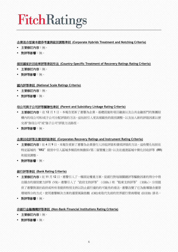### 企業混合型資本證券考量與級別調整準則 **(Corporate Hybrids Treatment and Notching Criteria)**

- 主要修訂內容:無。
- 對評等影響:無。

### 個別國家於回收率評等準則作法 **(Country-Specific Treatment of Recovery Ratings Rating Criteria)**

- 主要修訂內容:無。
- 對評等影響:無。

### 國內評等準則 **(National Scale Ratings Criteria)**

- 主要修訂內容:無。
- 對評等影響:無。

### 母公司與子公司評等關聯性準則 **(Parent and Subsidiary Linkage Rating Criteria)**

- 主要修訂內容:在12月1日,本報告更新了惠譽為企業、基礎設施和項目融資以及公共金融部門的集團結 構內的母公司和/或子公司分配評級的方法。這包括引入更具規範性的級別調整,以及加入新的評級因素以便 完善"強母公司"或"強子公司"評級方法路徑。
- 對評等影響:無。

### 企業回收評等及債項評級準則 **(Corporates Recovery Ratings and Instrument Rating Criteria)**

- 主**要修訂內容:**在4月9日,本報告更新了惠譽為企業發行人回收評級和債項評級的方法。這些變化包括在 特定區域的"RR2"級別中引入區域多頻段和無擔保/第二留置權上限,以及在過渡區域中簡化回收評等 (RR) 和級別調整。
- 對評等影響:無。

### 銀行評等準則 **(Bank Rating Criteria)**

- 主要修訂內容: 在 11 月 12 日,惠譽引入了一種固定權重方案,從銀行對每個關鍵評等驅動因素的得分中得 出隱含的個別實力評等 (VR)。惠譽引入了"政府支持評等"(GSRs)和"股東支持評等"(SSRs),分別提 供了惠譽對源於政府或所有者提供特別支持以防止銀行違約的可能性的看法。惠譽改變了它為推導隱含運營 環境得分的方式,使用惠譽解決方案的運營風險指數 (ORI)來取代先前的世界銀行營商環境 (EODB) 排名。
- 對評等影響:無。

### 非銀行金融機構評等準則 **(Non-Bank Financial Institutions Rating Criteria)**

- 主要修訂內容:無。
- 對評等影響:無。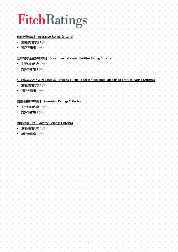### 保險評等準則 **(Insurance Rating Criteria)**

- 主要修訂內容:無。
- 對評等影響:無。

### 政府關聯企業評等準則 **(Government-Related Entities Rating Criteria)**

- 主要修訂內容:無。
- 對評等影響:無。

### 公有事業及收入基礎支撐企業之評等準則 **(Public Sector, Revenue-Supported Entities Rating Criteria)**

- 主要修訂內容:無。
- 對評等影響:無。

### 國家主權評等準則 **(Sovereign Ratings Criteria)**

- 主要修訂內容:無。
- 對評等影響:無。

### 國家評等上限 **(Country Ceilings Criteria)**

- 主要修訂內容:無。
- 對評等影響:無。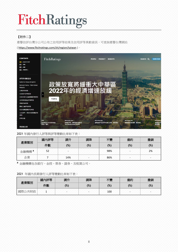### 【附件二】

惠譽信評台灣分公司公布之信用評等結果及信用評等異動資訊,可查詢惠譽台灣網站

( <https://www.fitchratings.com/zh/region/taiwan> )。



2021 年國內發行人評等與評等變動比率如下表:

|                | ע⊑ו<br>図 | 調升  | 調降 | 不變            | 違約  | 撤銷   |
|----------------|----------|-----|----|---------------|-----|------|
| 產業類別           | 件數       | (%) | %  | $\frac{9}{6}$ | (%) | $\%$ |
| 構 <sup>a</sup> | 52       |     |    | 98%           |     | 2%   |
| 企業             |          | 14% |    | 86%           |     |      |

**<sup>a</sup>** 金融機構包含銀行、金控、票券、證券、及租賃公司。

2021 年國內長期發行人評等變動比率如下表:

|                     | 國  | 調升 | 調降   | 不變   | 違約  | 撤銷  |
|---------------------|----|----|------|------|-----|-----|
| 業類別<br>库            | 件數 | %  | (% ) | (% ) | (%) | (%) |
| $\rightarrow$<br>咸隆 |    |    |      | 100  |     |     |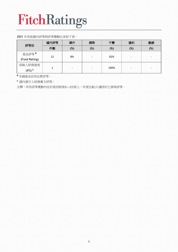### 2021 年其他國內評等與評等變動比率如下表:

| 評等別                                | 國內評等 | 調升  | 調降  | 不變   | 違約  | 撤銷  |
|------------------------------------|------|-----|-----|------|-----|-----|
|                                    | 件數   | (%) | (%) | (%)  | (%) | (%) |
| 基金評等 <sup>b</sup><br>(Fund Rating) | 12   | 8%  |     | 92%  |     |     |
| 保險人財務強度<br>c<br>(IFS)              |      |     |     | 100% |     |     |

**<sup>b</sup>** 本國基金信用品質評等。

**<sup>c</sup>**國內發行人財務實力評等。

注釋:所有評等變動均在於級別程度(+,-)及與上一年度比較;只適用於已發佈評等。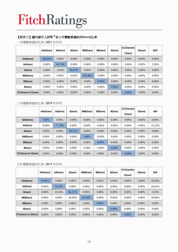### 【附件三】國內發行人評等 **<sup>d</sup>** 近十年變動與違約**(D(twn))**比率

一年變動與違約比率: 2021 年序列

|                    | AAA(twn) | AA(twn)  | A(twn)   | BBB(twn) | BB(twn)  | B(twn)   | CCC(twn)to<br>C(twn) | D(twn)   | <b>WD<sup>e</sup></b> |
|--------------------|----------|----------|----------|----------|----------|----------|----------------------|----------|-----------------------|
| AAA(twn)           | 100.00%  | $0.00\%$ | $0.00\%$ | $0.00\%$ | $0.00\%$ | $0.00\%$ | $0.00\%$             | $0.00\%$ | $0.00\%$              |
| AA(twn)            | $0.00\%$ | 94.74%   | $0.00\%$ | 0.00%    | $0.00\%$ | $0.00\%$ | $0.00\%$             | $0.00\%$ | 5.26%                 |
| A(twn)             | $0.00\%$ | 3.03%    | 96.97%   | $0.00\%$ | $0.00\%$ | $0.00\%$ | $0.00\%$             | $0.00\%$ | $0.00\%$              |
| BBB(twn)           | $0.00\%$ | $0.00\%$ | 0.00%    | 100.00%  | $0.00\%$ | $0.00\%$ | $0.00\%$             | $0.00\%$ | $0.00\%$              |
| BB(twn)            | $0.00\%$ | $0.00\%$ | $0.00\%$ | $0.00\%$ | $0.00\%$ | $0.00\%$ | $0.00\%$             | $0.00\%$ | $0.00\%$              |
| B(twn)             | $0.00\%$ | $0.00\%$ | $0.00\%$ | $0.00\%$ | $0.00\%$ | $0.00\%$ | 0.00%                | $0.00\%$ | $0.00\%$              |
| CCC(twn) to C(twn) | $0.00\%$ | $0.00\%$ | $0.00\%$ | $0.00\%$ | $0.00\%$ | $0.00\%$ | $0.00\%$             | $0.00\%$ | $0.00\%$              |

### 三年變動與違約比率: 2019 年序列

|                    | AAA(twn) | AA(twn)  | A(twn)   | BBB(twn) | BB(twn)  | B(twn)   | CCC(twn)to<br>C(twn) | D(twn)   | <b>WD</b> |
|--------------------|----------|----------|----------|----------|----------|----------|----------------------|----------|-----------|
| AAA(twn)           | 100%     | $0.00\%$ | $0.00\%$ | $0.00\%$ | $0.00\%$ | $0.00\%$ | $0.00\%$             | $0.00\%$ | $0.00\%$  |
| AA(twn)            | 0.00%    | 77.78%   | $0.00\%$ | 0.00%    | $0.00\%$ | $0.00\%$ | 0.00%                | $0.00\%$ | 22.22%    |
| A(twn)             | $0.00\%$ | 9.09%    | 90.91%   | $0.00\%$ | $0.00\%$ | $0.00\%$ | $0.00\%$             | $0.00\%$ | $0.00\%$  |
| BBB(twn)           | $0.00\%$ | $0.00\%$ | $0.00\%$ | 100%     | $0.00\%$ | $0.00\%$ | $0.00\%$             | $0.00\%$ | 0.00%     |
| BB(twn)            | $0.00\%$ | $0.00\%$ | $0.00\%$ | $0.00\%$ | 0.00%    | $0.00\%$ | $0.00\%$             | $0.00\%$ | $0.00\%$  |
| B(twn)             | $0.00\%$ | $0.00\%$ | $0.00\%$ | $0.00\%$ | $0.00\%$ | $0.00\%$ | 0.00%                | $0.00\%$ | $0.00\%$  |
| CCC(twn) to C(twn) | $0.00\%$ | $0.00\%$ | $0.00\%$ | $0.00\%$ | $0.00\%$ | $0.00\%$ | $0.00\%$             | $0.00\%$ | $0.00\%$  |

### 五年變動與違約比率: 2017 年序列

|                    | AAA(twn) | AA(twn)  | A(twn)   | BBB(twn) | BB(twn)  | B(twn)   | CCC(twn)to<br>C(twn) | D(twn)   | <b>WD</b> |
|--------------------|----------|----------|----------|----------|----------|----------|----------------------|----------|-----------|
| AAA(twn)           | 50.00%   | $0.00\%$ | $0.00\%$ | $0.00\%$ | $0.00\%$ | $0.00\%$ | $0.00\%$             | $0.00\%$ | 50.00%    |
| AA(twn)            | $0.00\%$ | 70.59%   | $0.00\%$ | $0.00\%$ | $0.00\%$ | $0.00\%$ | $0.00\%$             | $0.00\%$ | 29.41%    |
| A(twn)             | $0.00\%$ | 10.34%   | 86.21%   | $0.00\%$ | $0.00\%$ | $0.00\%$ | $0.00\%$             | $0.00\%$ | 3.45%     |
| BBB(twn)           | $0.00\%$ | $0.00\%$ | 20.00%   | 60.00%   | $0.00\%$ | $0.00\%$ | $0.00\%$             | $0.00\%$ | 20.00%    |
| BB(twn)            | $0.00\%$ | $0.00\%$ | $0.00\%$ | $0.00\%$ | $0.00\%$ | $0.00\%$ | $0.00\%$             | $0.00\%$ | $0.00\%$  |
| B(twn)             | $0.00\%$ | $0.00\%$ | $0.00\%$ | $0.00\%$ | $0.00\%$ | $0.00\%$ | $0.00\%$             | $0.00\%$ | $0.00\%$  |
| CCC(twn) to C(twn) | $0.00\%$ | $0.00\%$ | $0.00\%$ | $0.00\%$ | $0.00\%$ | $0.00\%$ | $0.00\%$             | $0.00\%$ | $0.00\%$  |